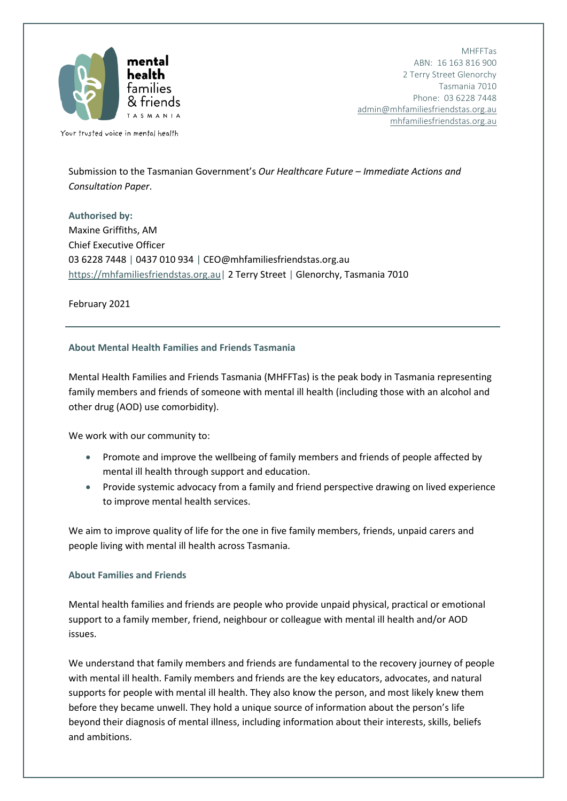

MHFFTas ABN: 16 163 816 900 2 Terry Street Glenorchy Tasmania 7010 Phone: 03 6228 7448 [admin@mhfamiliesfriendstas.org.au](mailto:admin@mhfamiliesfriendstas.org.au) [mhfamiliesfriendstas.org.au](https://mhfamiliesfriendstas.org.au/)

Your trusted voice in mental health

Submission to the Tasmanian Government's *Our Healthcare Future – Immediate Actions and Consultation Paper*.

**Authorised by:** Maxine Griffiths, AM Chief Executive Officer 03 6228 7448 | 0437 010 934 | CEO@mhfamiliesfriendstas.org.au [https://mhfamiliesfriendstas.org.au|](https://mhfamiliesfriendstas.org.au/) 2 Terry Street | Glenorchy, Tasmania 7010

February 2021

# **About Mental Health Families and Friends Tasmania**

Mental Health Families and Friends Tasmania (MHFFTas) is the peak body in Tasmania representing family members and friends of someone with mental ill health (including those with an alcohol and other drug (AOD) use comorbidity).

We work with our community to:

- Promote and improve the wellbeing of family members and friends of people affected by mental ill health through support and education.
- Provide systemic advocacy from a family and friend perspective drawing on lived experience to improve mental health services.

We aim to improve quality of life for the one in five family members, friends, unpaid carers and people living with mental ill health across Tasmania.

## **About Families and Friends**

Mental health families and friends are people who provide unpaid physical, practical or emotional support to a family member, friend, neighbour or colleague with mental ill health and/or AOD issues.

We understand that family members and friends are fundamental to the recovery journey of people with mental ill health. Family members and friends are the key educators, advocates, and natural supports for people with mental ill health. They also know the person, and most likely knew them before they became unwell. They hold a unique source of information about the person's life beyond their diagnosis of mental illness, including information about their interests, skills, beliefs and ambitions.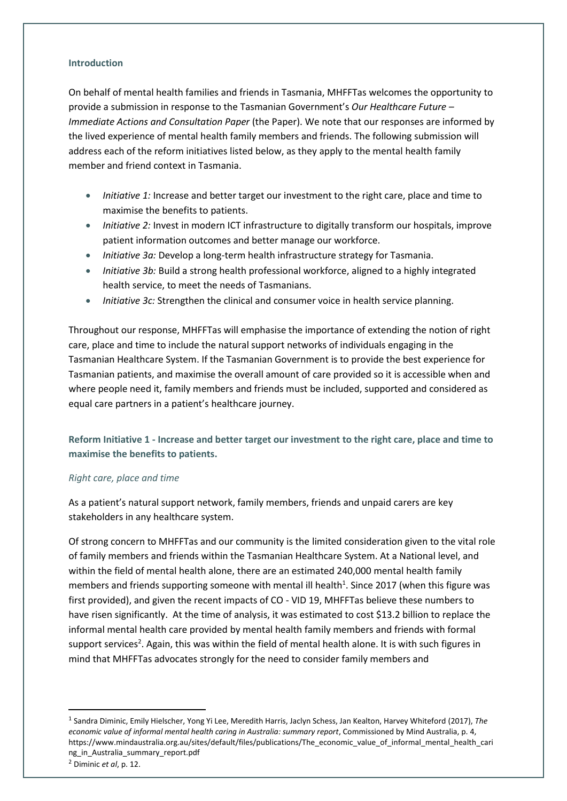### **Introduction**

On behalf of mental health families and friends in Tasmania, MHFFTas welcomes the opportunity to provide a submission in response to the Tasmanian Government's *Our Healthcare Future – Immediate Actions and Consultation Paper* (the Paper). We note that our responses are informed by the lived experience of mental health family members and friends. The following submission will address each of the reform initiatives listed below, as they apply to the mental health family member and friend context in Tasmania.

- *Initiative 1:* Increase and better target our investment to the right care, place and time to maximise the benefits to patients.
- *Initiative 2:* Invest in modern ICT infrastructure to digitally transform our hospitals, improve patient information outcomes and better manage our workforce.
- *Initiative 3a:* Develop a long-term health infrastructure strategy for Tasmania.
- *Initiative 3b:* Build a strong health professional workforce, aligned to a highly integrated health service, to meet the needs of Tasmanians.
- *Initiative 3c:* Strengthen the clinical and consumer voice in health service planning.

Throughout our response, MHFFTas will emphasise the importance of extending the notion of right care, place and time to include the natural support networks of individuals engaging in the Tasmanian Healthcare System. If the Tasmanian Government is to provide the best experience for Tasmanian patients, and maximise the overall amount of care provided so it is accessible when and where people need it, family members and friends must be included, supported and considered as equal care partners in a patient's healthcare journey.

**Reform Initiative 1 - Increase and better target our investment to the right care, place and time to maximise the benefits to patients.**

## *Right care, place and time*

**.** 

As a patient's natural support network, family members, friends and unpaid carers are key stakeholders in any healthcare system.

Of strong concern to MHFFTas and our community is the limited consideration given to the vital role of family members and friends within the Tasmanian Healthcare System. At a National level, and within the field of mental health alone, there are an estimated 240,000 mental health family members and friends supporting someone with mental ill health<sup>1</sup>. Since 2017 (when this figure was first provided), and given the recent impacts of CO - VID 19, MHFFTas believe these numbers to have risen significantly. At the time of analysis, it was estimated to cost \$13.2 billion to replace the informal mental health care provided by mental health family members and friends with formal support services<sup>2</sup>. Again, this was within the field of mental health alone. It is with such figures in mind that MHFFTas advocates strongly for the need to consider family members and

<sup>1</sup> Sandra Diminic, Emily Hielscher, Yong Yi Lee, Meredith Harris, Jaclyn Schess, Jan Kealton, Harvey Whiteford (2017), *The economic value of informal mental health caring in Australia: summary report*, Commissioned by Mind Australia, p. 4, https://www.mindaustralia.org.au/sites/default/files/publications/The\_economic\_value\_of\_informal\_mental\_health\_cari ng in Australia summary report.pdf <sup>2</sup> Diminic *et al*, p. 12.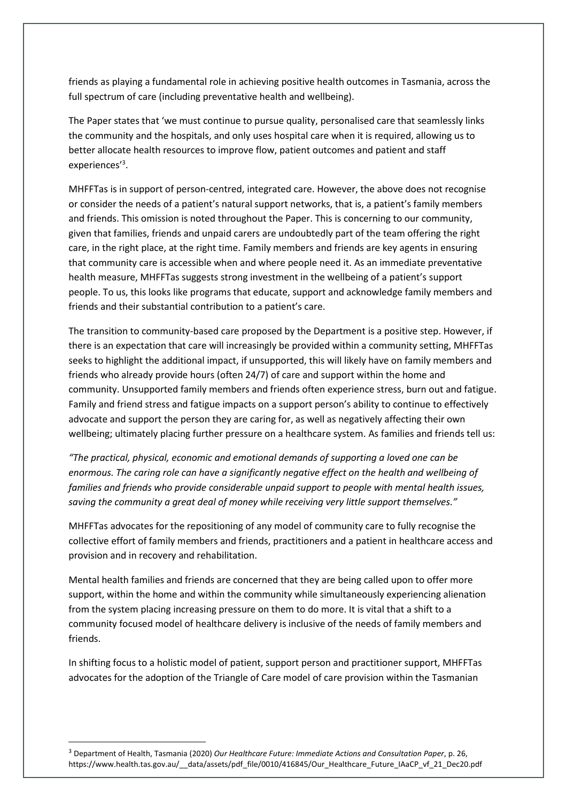friends as playing a fundamental role in achieving positive health outcomes in Tasmania, across the full spectrum of care (including preventative health and wellbeing).

The Paper states that 'we must continue to pursue quality, personalised care that seamlessly links the community and the hospitals, and only uses hospital care when it is required, allowing us to better allocate health resources to improve flow, patient outcomes and patient and staff experiences'<sup>3</sup>.

MHFFTas is in support of person-centred, integrated care. However, the above does not recognise or consider the needs of a patient's natural support networks, that is, a patient's family members and friends. This omission is noted throughout the Paper. This is concerning to our community, given that families, friends and unpaid carers are undoubtedly part of the team offering the right care, in the right place, at the right time. Family members and friends are key agents in ensuring that community care is accessible when and where people need it. As an immediate preventative health measure, MHFFTas suggests strong investment in the wellbeing of a patient's support people. To us, this looks like programs that educate, support and acknowledge family members and friends and their substantial contribution to a patient's care.

The transition to community-based care proposed by the Department is a positive step. However, if there is an expectation that care will increasingly be provided within a community setting, MHFFTas seeks to highlight the additional impact, if unsupported, this will likely have on family members and friends who already provide hours (often 24/7) of care and support within the home and community. Unsupported family members and friends often experience stress, burn out and fatigue. Family and friend stress and fatigue impacts on a support person's ability to continue to effectively advocate and support the person they are caring for, as well as negatively affecting their own wellbeing; ultimately placing further pressure on a healthcare system. As families and friends tell us:

*"The practical, physical, economic and emotional demands of supporting a loved one can be enormous. The caring role can have a significantly negative effect on the health and wellbeing of*  families and friends who provide considerable unpaid support to people with mental health issues, *saving the community a great deal of money while receiving very little support themselves."*

MHFFTas advocates for the repositioning of any model of community care to fully recognise the collective effort of family members and friends, practitioners and a patient in healthcare access and provision and in recovery and rehabilitation.

Mental health families and friends are concerned that they are being called upon to offer more support, within the home and within the community while simultaneously experiencing alienation from the system placing increasing pressure on them to do more. It is vital that a shift to a community focused model of healthcare delivery is inclusive of the needs of family members and friends.

In shifting focus to a holistic model of patient, support person and practitioner support, MHFFTas advocates for the adoption of the Triangle of Care model of care provision within the Tasmanian

**.** 

<sup>3</sup> Department of Health, Tasmania (2020) *Our Healthcare Future: Immediate Actions and Consultation Paper*, p. 26, https://www.health.tas.gov.au/\_\_data/assets/pdf\_file/0010/416845/Our\_Healthcare\_Future\_IAaCP\_vf\_21\_Dec20.pdf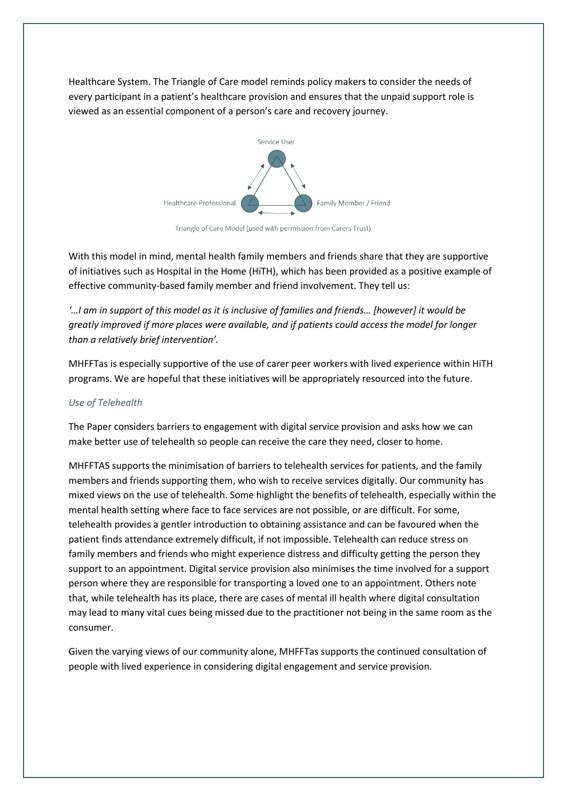Healthcare System. The Triangle of Care model reminds policy makers to consider the needs of every participant in a patient's healthcare provision and ensures that the unpaid support role is viewed as an essential component of a person's care and recovery journey.



Triangle of Care Model (used with permission from Carers Trust)

With this model in mind, mental health family members and friends share that they are supportive of initiatives such as Hospital in the Home (HiTH), which has been provided as a positive example of effective community-based family member and friend involvement. They tell us:

*'…I am in support of this model as it is inclusive of families and friends… [however] it would be greatly improved if more places were available, and if patients could access the model for longer than a relatively brief intervention'.*

MHFFTas is especially supportive of the use of carer peer workers with lived experience within HiTH programs. We are hopeful that these initiatives will be appropriately resourced into the future.

## *Use of Telehealth*

The Paper considers barriers to engagement with digital service provision and asks how we can make better use of telehealth so people can receive the care they need, closer to home.

MHFFTAS supports the minimisation of barriers to telehealth services for patients, and the family members and friends supporting them, who wish to receive services digitally. Our community has mixed views on the use of telehealth. Some highlight the benefits of telehealth, especially within the mental health setting where face to face services are not possible, or are difficult. For some, telehealth provides a gentler introduction to obtaining assistance and can be favoured when the patient finds attendance extremely difficult, if not impossible. Telehealth can reduce stress on family members and friends who might experience distress and difficulty getting the person they support to an appointment. Digital service provision also minimises the time involved for a support person where they are responsible for transporting a loved one to an appointment. Others note that, while telehealth has its place, there are cases of mental ill health where digital consultation may lead to many vital cues being missed due to the practitioner not being in the same room as the consumer.

Given the varying views of our community alone, MHFFTas supports the continued consultation of people with lived experience in considering digital engagement and service provision.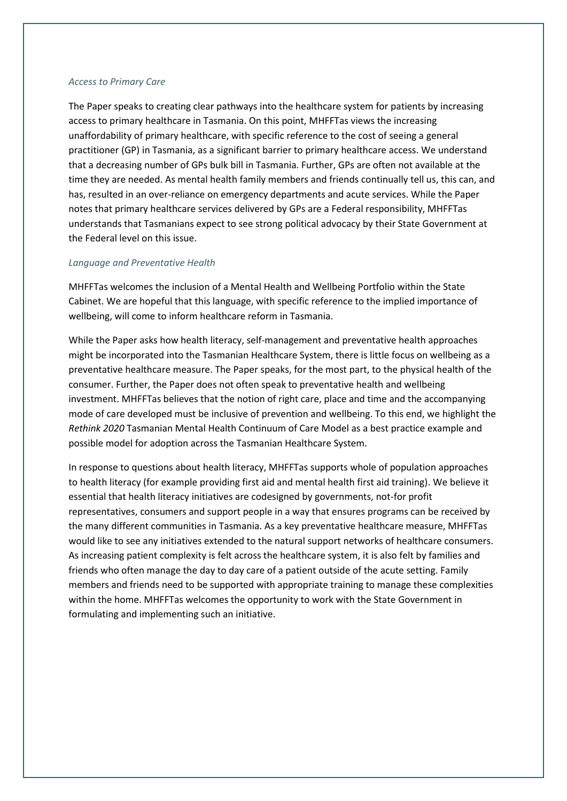#### *Access to Primary Care*

The Paper speaks to creating clear pathways into the healthcare system for patients by increasing access to primary healthcare in Tasmania. On this point, MHFFTas views the increasing unaffordability of primary healthcare, with specific reference to the cost of seeing a general practitioner (GP) in Tasmania, as a significant barrier to primary healthcare access. We understand that a decreasing number of GPs bulk bill in Tasmania. Further, GPs are often not available at the time they are needed. As mental health family members and friends continually tell us, this can, and has, resulted in an over-reliance on emergency departments and acute services. While the Paper notes that primary healthcare services delivered by GPs are a Federal responsibility, MHFFTas understands that Tasmanians expect to see strong political advocacy by their State Government at the Federal level on this issue.

#### *Language and Preventative Health*

MHFFTas welcomes the inclusion of a Mental Health and Wellbeing Portfolio within the State Cabinet. We are hopeful that this language, with specific reference to the implied importance of wellbeing, will come to inform healthcare reform in Tasmania.

While the Paper asks how health literacy, self-management and preventative health approaches might be incorporated into the Tasmanian Healthcare System, there is little focus on wellbeing as a preventative healthcare measure. The Paper speaks, for the most part, to the physical health of the consumer. Further, the Paper does not often speak to preventative health and wellbeing investment. MHFFTas believes that the notion of right care, place and time and the accompanying mode of care developed must be inclusive of prevention and wellbeing. To this end, we highlight the *Rethink 2020* Tasmanian Mental Health Continuum of Care Model as a best practice example and possible model for adoption across the Tasmanian Healthcare System.

In response to questions about health literacy, MHFFTas supports whole of population approaches to health literacy (for example providing first aid and mental health first aid training). We believe it essential that health literacy initiatives are codesigned by governments, not-for profit representatives, consumers and support people in a way that ensures programs can be received by the many different communities in Tasmania. As a key preventative healthcare measure, MHFFTas would like to see any initiatives extended to the natural support networks of healthcare consumers. As increasing patient complexity is felt across the healthcare system, it is also felt by families and friends who often manage the day to day care of a patient outside of the acute setting. Family members and friends need to be supported with appropriate training to manage these complexities within the home. MHFFTas welcomes the opportunity to work with the State Government in formulating and implementing such an initiative.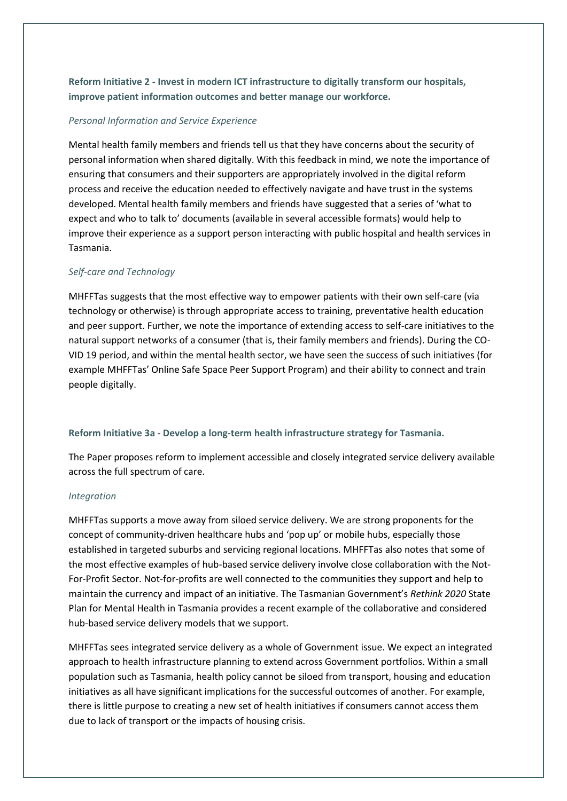**Reform Initiative 2 - Invest in modern ICT infrastructure to digitally transform our hospitals, improve patient information outcomes and better manage our workforce.**

#### *Personal Information and Service Experience*

Mental health family members and friends tell us that they have concerns about the security of personal information when shared digitally. With this feedback in mind, we note the importance of ensuring that consumers and their supporters are appropriately involved in the digital reform process and receive the education needed to effectively navigate and have trust in the systems developed. Mental health family members and friends have suggested that a series of 'what to expect and who to talk to' documents (available in several accessible formats) would help to improve their experience as a support person interacting with public hospital and health services in Tasmania.

#### *Self-care and Technology*

MHFFTas suggests that the most effective way to empower patients with their own self-care (via technology or otherwise) is through appropriate access to training, preventative health education and peer support. Further, we note the importance of extending access to self-care initiatives to the natural support networks of a consumer (that is, their family members and friends). During the CO-VID 19 period, and within the mental health sector, we have seen the success of such initiatives (for example MHFFTas' Online Safe Space Peer Support Program) and their ability to connect and train people digitally.

#### **Reform Initiative 3a - Develop a long-term health infrastructure strategy for Tasmania.**

The Paper proposes reform to implement accessible and closely integrated service delivery available across the full spectrum of care.

#### *Integration*

MHFFTas supports a move away from siloed service delivery. We are strong proponents for the concept of community-driven healthcare hubs and 'pop up' or mobile hubs, especially those established in targeted suburbs and servicing regional locations. MHFFTas also notes that some of the most effective examples of hub-based service delivery involve close collaboration with the Not-For-Profit Sector. Not-for-profits are well connected to the communities they support and help to maintain the currency and impact of an initiative. The Tasmanian Government's *Rethink 2020* State Plan for Mental Health in Tasmania provides a recent example of the collaborative and considered hub-based service delivery models that we support.

MHFFTas sees integrated service delivery as a whole of Government issue. We expect an integrated approach to health infrastructure planning to extend across Government portfolios. Within a small population such as Tasmania, health policy cannot be siloed from transport, housing and education initiatives as all have significant implications for the successful outcomes of another. For example, there is little purpose to creating a new set of health initiatives if consumers cannot access them due to lack of transport or the impacts of housing crisis.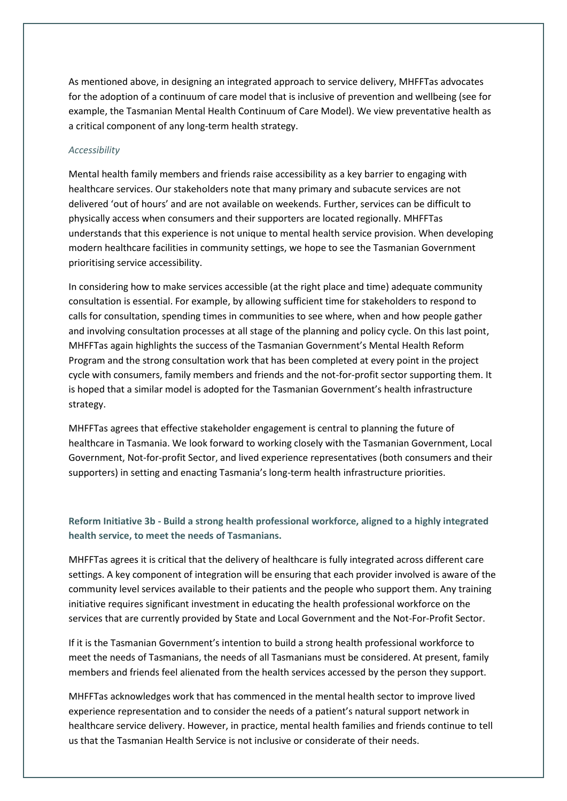As mentioned above, in designing an integrated approach to service delivery, MHFFTas advocates for the adoption of a continuum of care model that is inclusive of prevention and wellbeing (see for example, the Tasmanian Mental Health Continuum of Care Model). We view preventative health as a critical component of any long-term health strategy.

### *Accessibility*

Mental health family members and friends raise accessibility as a key barrier to engaging with healthcare services. Our stakeholders note that many primary and subacute services are not delivered 'out of hours' and are not available on weekends. Further, services can be difficult to physically access when consumers and their supporters are located regionally. MHFFTas understands that this experience is not unique to mental health service provision. When developing modern healthcare facilities in community settings, we hope to see the Tasmanian Government prioritising service accessibility.

In considering how to make services accessible (at the right place and time) adequate community consultation is essential. For example, by allowing sufficient time for stakeholders to respond to calls for consultation, spending times in communities to see where, when and how people gather and involving consultation processes at all stage of the planning and policy cycle. On this last point, MHFFTas again highlights the success of the Tasmanian Government's Mental Health Reform Program and the strong consultation work that has been completed at every point in the project cycle with consumers, family members and friends and the not-for-profit sector supporting them. It is hoped that a similar model is adopted for the Tasmanian Government's health infrastructure strategy.

MHFFTas agrees that effective stakeholder engagement is central to planning the future of healthcare in Tasmania. We look forward to working closely with the Tasmanian Government, Local Government, Not-for-profit Sector, and lived experience representatives (both consumers and their supporters) in setting and enacting Tasmania's long-term health infrastructure priorities.

# **Reform Initiative 3b - Build a strong health professional workforce, aligned to a highly integrated health service, to meet the needs of Tasmanians.**

MHFFTas agrees it is critical that the delivery of healthcare is fully integrated across different care settings. A key component of integration will be ensuring that each provider involved is aware of the community level services available to their patients and the people who support them. Any training initiative requires significant investment in educating the health professional workforce on the services that are currently provided by State and Local Government and the Not-For-Profit Sector.

If it is the Tasmanian Government's intention to build a strong health professional workforce to meet the needs of Tasmanians, the needs of all Tasmanians must be considered. At present, family members and friends feel alienated from the health services accessed by the person they support.

MHFFTas acknowledges work that has commenced in the mental health sector to improve lived experience representation and to consider the needs of a patient's natural support network in healthcare service delivery. However, in practice, mental health families and friends continue to tell us that the Tasmanian Health Service is not inclusive or considerate of their needs.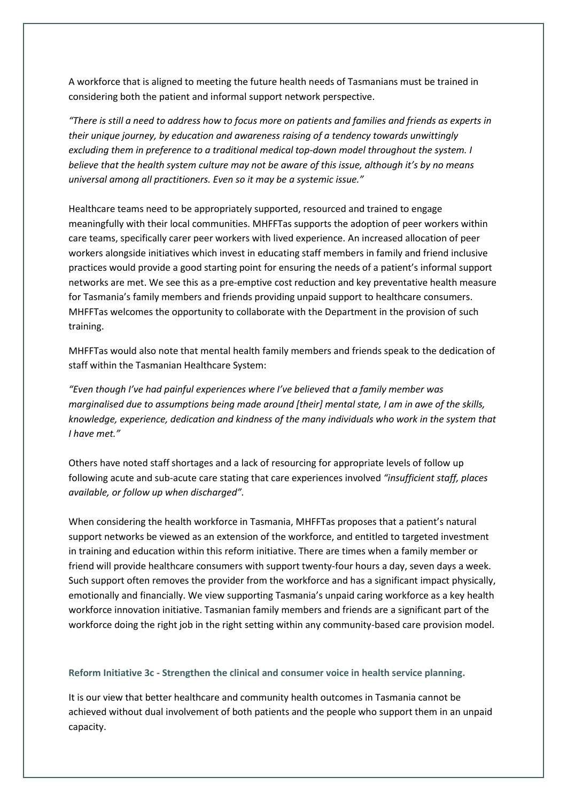A workforce that is aligned to meeting the future health needs of Tasmanians must be trained in considering both the patient and informal support network perspective.

*"There is still a need to address how to focus more on patients and families and friends as experts in their unique journey, by education and awareness raising of a tendency towards unwittingly excluding them in preference to a traditional medical top-down model throughout the system. I believe that the health system culture may not be aware of this issue, although it's by no means universal among all practitioners. Even so it may be a systemic issue."*

Healthcare teams need to be appropriately supported, resourced and trained to engage meaningfully with their local communities. MHFFTas supports the adoption of peer workers within care teams, specifically carer peer workers with lived experience. An increased allocation of peer workers alongside initiatives which invest in educating staff members in family and friend inclusive practices would provide a good starting point for ensuring the needs of a patient's informal support networks are met. We see this as a pre-emptive cost reduction and key preventative health measure for Tasmania's family members and friends providing unpaid support to healthcare consumers. MHFFTas welcomes the opportunity to collaborate with the Department in the provision of such training.

MHFFTas would also note that mental health family members and friends speak to the dedication of staff within the Tasmanian Healthcare System:

*"Even though I've had painful experiences where I've believed that a family member was marginalised due to assumptions being made around [their] mental state, I am in awe of the skills, knowledge, experience, dedication and kindness of the many individuals who work in the system that I have met."*

Others have noted staff shortages and a lack of resourcing for appropriate levels of follow up following acute and sub-acute care stating that care experiences involved *"insufficient staff, places available, or follow up when discharged".*

When considering the health workforce in Tasmania, MHFFTas proposes that a patient's natural support networks be viewed as an extension of the workforce, and entitled to targeted investment in training and education within this reform initiative. There are times when a family member or friend will provide healthcare consumers with support twenty-four hours a day, seven days a week. Such support often removes the provider from the workforce and has a significant impact physically, emotionally and financially. We view supporting Tasmania's unpaid caring workforce as a key health workforce innovation initiative. Tasmanian family members and friends are a significant part of the workforce doing the right job in the right setting within any community-based care provision model.

**Reform Initiative 3c - Strengthen the clinical and consumer voice in health service planning.**

It is our view that better healthcare and community health outcomes in Tasmania cannot be achieved without dual involvement of both patients and the people who support them in an unpaid capacity.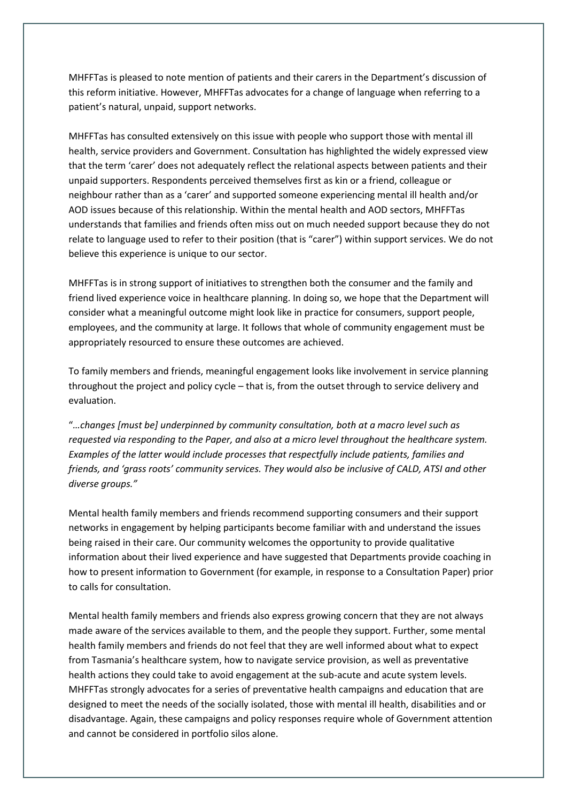MHFFTas is pleased to note mention of patients and their carers in the Department's discussion of this reform initiative. However, MHFFTas advocates for a change of language when referring to a patient's natural, unpaid, support networks.

MHFFTas has consulted extensively on this issue with people who support those with mental ill health, service providers and Government. Consultation has highlighted the widely expressed view that the term 'carer' does not adequately reflect the relational aspects between patients and their unpaid supporters. Respondents perceived themselves first as kin or a friend, colleague or neighbour rather than as a 'carer' and supported someone experiencing mental ill health and/or AOD issues because of this relationship. Within the mental health and AOD sectors, MHFFTas understands that families and friends often miss out on much needed support because they do not relate to language used to refer to their position (that is "carer") within support services. We do not believe this experience is unique to our sector.

MHFFTas is in strong support of initiatives to strengthen both the consumer and the family and friend lived experience voice in healthcare planning. In doing so, we hope that the Department will consider what a meaningful outcome might look like in practice for consumers, support people, employees, and the community at large. It follows that whole of community engagement must be appropriately resourced to ensure these outcomes are achieved.

To family members and friends, meaningful engagement looks like involvement in service planning throughout the project and policy cycle – that is, from the outset through to service delivery and evaluation.

"*…changes [must be] underpinned by community consultation, both at a macro level such as requested via responding to the Paper, and also at a micro level throughout the healthcare system. Examples of the latter would include processes that respectfully include patients, families and friends, and 'grass roots' community services. They would also be inclusive of CALD, ATSI and other diverse groups."*

Mental health family members and friends recommend supporting consumers and their support networks in engagement by helping participants become familiar with and understand the issues being raised in their care. Our community welcomes the opportunity to provide qualitative information about their lived experience and have suggested that Departments provide coaching in how to present information to Government (for example, in response to a Consultation Paper) prior to calls for consultation.

Mental health family members and friends also express growing concern that they are not always made aware of the services available to them, and the people they support. Further, some mental health family members and friends do not feel that they are well informed about what to expect from Tasmania's healthcare system, how to navigate service provision, as well as preventative health actions they could take to avoid engagement at the sub-acute and acute system levels. MHFFTas strongly advocates for a series of preventative health campaigns and education that are designed to meet the needs of the socially isolated, those with mental ill health, disabilities and or disadvantage. Again, these campaigns and policy responses require whole of Government attention and cannot be considered in portfolio silos alone.